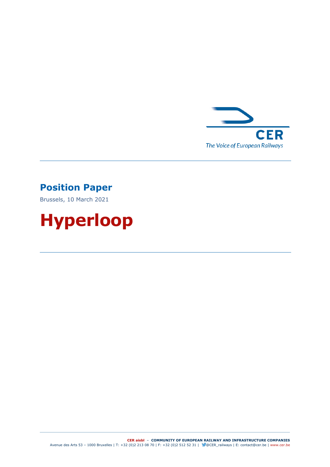

## **Position Paper**

Brussels, 10 March 2021

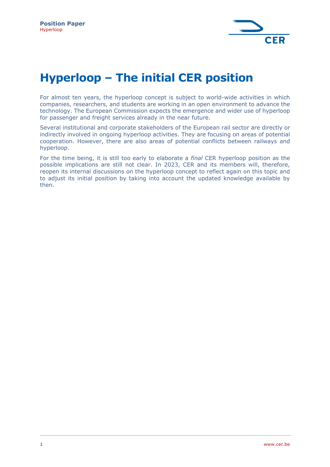

# **Hyperloop – The initial CER position**

For almost ten years, the hyperloop concept is subject to world-wide activities in which companies, researchers, and students are working in an open environment to advance the technology. The European Commission expects the emergence and wider use of hyperloop for passenger and freight services already in the near future.

Several institutional and corporate stakeholders of the European rail sector are directly or indirectly involved in ongoing hyperloop activities. They are focusing on areas of potential cooperation. However, there are also areas of potential conflicts between railways and hyperloop.

For the time being, it is still too early to elaborate a *final* CER hyperloop position as the possible implications are still not clear. In 2023, CER and its members will, therefore, reopen its internal discussions on the hyperloop concept to reflect again on this topic and to adjust its initial position by taking into account the updated knowledge available by then.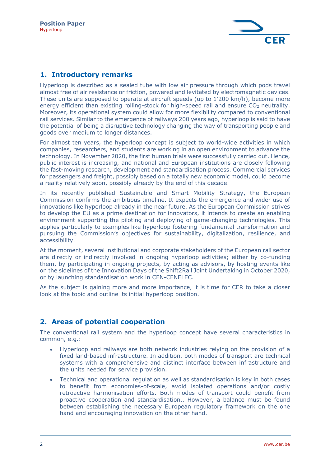

#### **1. Introductory remarks**

Hyperloop is described as a sealed tube with low air pressure through which pods travel almost free of air resistance or friction, powered and levitated by electromagnetic devices. These units are supposed to operate at aircraft speeds (up to 1'200 km/h), become more energy efficient than existing rolling-stock for high-speed rail and ensure CO<sub>2</sub> neutrality. Moreover, its operational system could allow for more flexibility compared to conventional rail services. Similar to the emergence of railways 200 years ago, hyperloop is said to have the potential of being a disruptive technology changing the way of transporting people and goods over medium to longer distances.

For almost ten years, the hyperloop concept is subject to world-wide activities in which companies, researchers, and students are working in an open environment to advance the technology. In November 2020, the first human trials were successfully carried out. Hence, public interest is increasing, and national and European institutions are closely following the fast-moving research, development and standardisation process. Commercial services for passengers and freight, possibly based on a totally new economic model, could become a reality relatively soon, possibly already by the end of this decade.

In its recently published Sustainable and Smart Mobility Strategy, the European Commission confirms the ambitious timeline. It expects the emergence and wider use of innovations like hyperloop already in the near future. As the European Commission strives to develop the EU as a prime destination for innovators, it intends to create an enabling environment supporting the piloting and deploying of game-changing technologies. This applies particularly to examples like hyperloop fostering fundamental transformation and pursuing the Commission's objectives for sustainability, digitalization, resilience, and accessibility.

At the moment, several institutional and corporate stakeholders of the European rail sector are directly or indirectly involved in ongoing hyperloop activities; either by co-funding them, by participating in ongoing projects, by acting as advisors, by hosting events like on the sidelines of the Innovation Days of the Shift2Rail Joint Undertaking in October 2020, or by launching standardisation work in CEN-CENELEC.

As the subject is gaining more and more importance, it is time for CER to take a closer look at the topic and outline its initial hyperloop position.

### **2. Areas of potential cooperation**

The conventional rail system and the hyperloop concept have several characteristics in common, e.g.:

- Hyperloop and railways are both network industries relying on the provision of a fixed land-based infrastructure. In addition, both modes of transport are technical systems with a comprehensive and distinct interface between infrastructure and the units needed for service provision.
- Technical and operational regulation as well as standardisation is key in both cases to benefit from economies-of-scale, avoid isolated operations and/or costly retroactive harmonisation efforts. Both modes of transport could benefit from proactive cooperation and standardisation.. However, a balance must be found between establishing the necessary European regulatory framework on the one hand and encouraging innovation on the other hand.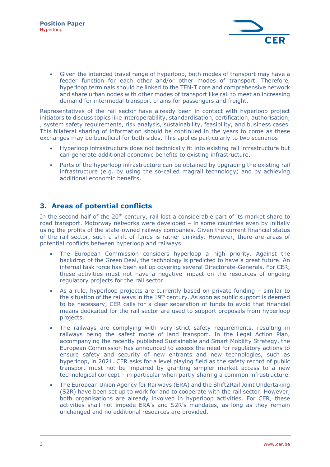

• Given the intended travel range of hyperloop, both modes of transport may have a feeder function for each other and/or other modes of transport. Therefore, hyperloop terminals should be linked to the TEN-T core and comprehensive network and share urban nodes with other modes of transport like rail to meet an increasing demand for intermodal transport chains for passengers and freight.

Representatives of the rail sector have already been in contact with hyperloop project initiators to discuss topics like interoperability, standardisation, certification, authorisation, , system safety requirements, risk analysis, sustainability, feasibility, and business cases. This bilateral sharing of information should be continued in the years to come as these exchanges may be beneficial for both sides. This applies particularly to two scenarios:

- Hyperloop infrastructure does not technically fit into existing rail infrastructure but can generate additional economic benefits to existing infrastructure.
- Parts of the hyperloop infrastructure can be obtained by upgrading the existing rail infrastructure (e.g. by using the so-called magrail technology) and by achieving additional economic benefits.

#### **3. Areas of potential conflicts**

In the second half of the  $20<sup>th</sup>$  century, rail lost a considerable part of its market share to road transport. Motorway networks were developed – in some countries even by initially using the profits of the state-owned railway companies. Given the current financial status of the rail sector, such a shift of funds is rather unlikely. However, there are areas of potential conflicts between hyperloop and railways.

- The European Commission considers hyperloop a high priority. Against the backdrop of the Green Deal, the technology is predicted to have a great future. An internal task force has been set up covering several Directorate-Generals. For CER, these activities must not have a negative impact on the resources of ongoing regulatory projects for the rail sector.
- As a rule, hyperloop projects are currently based on private funding similar to the situation of the railways in the  $19<sup>th</sup>$  century. As soon as public support is deemed to be necessary, CER calls for a clear separation of funds to avoid that financial means dedicated for the rail sector are used to support proposals from hyperloop projects.
- The railways are complying with very strict safety requirements, resulting in railways being the safest mode of land transport. In the Legal Action Plan, accompanying the recently published Sustainable and Smart Mobility Strategy, the European Commission has announced to assess the need for regulatory actions to ensure safety and security of new entrants and new technologies, such as hyperloop, in 2021. CER asks for a level playing field as the safety record of public transport must not be impaired by granting simpler market access to a new technological concept – in particular when partly sharing a common infrastructure.
- The European Union Agency for Railways (ERA) and the Shift2Rail Joint Undertaking (S2R) have been set up to work for and to cooperate with the rail sector. However, both organisations are already involved in hyperloop activities. For CER, these activities shall not impede ERA's and S2R's mandates, as long as they remain unchanged and no additional resources are provided.